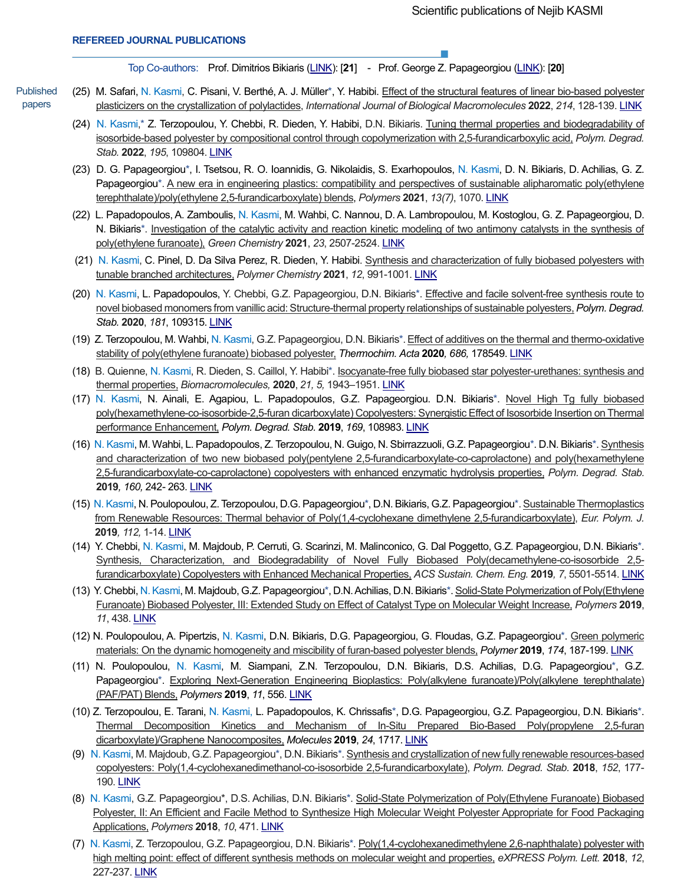Top Co-authors:Prof. Dimitrios Bikiaris [\(LINK\)](https://scholar.google.lu/citations?user=irW61n0AAAAJ&hl=en): [**21**] - Prof. George Z. Papageorgiou [\(LINK\)](https://scholar.google.lu/citations?user=Mtu9q38AAAAJ&hl=en): [**20**]

- Published papers (25) M. Safari, N. Kasmi, C. Pisani, V. Berthé, A. J. Müller\*, Y. Habibi. Effect of the structural features of linear bio-based polyester plasticizers on the crystallization of polylactides, *International Journal of Biological Macromolecules* **2022**, *214*, 128-139. [LINK](https://doi.org/10.1016/j.ijbiomac.2022.06.056)
	- (24) N. Kasmi,\* Z. Terzopoulou, Y. Chebbi, R. Dieden, Y. Habibi, D.N. Bikiaris. Tuning thermal properties and biodegradability of isosorbide-based polyester by compositional control through copolymerization with 2,5-furandicarboxylic acid, *Polym. Degrad. Stab.* **2022**, *195*, 109804. [LINK](https://doi.org/10.1016/j.polymdegradstab.2021.109804)
	- (23) D. G. Papageorgiou\*, I. Tsetsou, R. O. Ioannidis, G. Nikolaidis, S. Exarhopoulos, N. Kasmi, D. N. Bikiaris, D. Achilias, G. Z. Papageorgiou\*. A new era in engineering plastics: compatibility and perspectives of sustainable alipharomatic poly(ethylene terephthalate)/poly(ethylene 2,5-furandicarboxylate) blends, *Polymers* **2021**, *13(7)*, 1070[. LINK](https://www.mdpi.com/2073-4360/13/7/1070)
	- (22) L. Papadopoulos, A. Zamboulis, N. Kasmi, M. Wahbi, C. Nannou, D.A. Lambropoulou, M. Kostoglou, G. Z. Papageorgiou, D. N. Bikiaris\*. Investigation of the catalytic activity and reaction kinetic modeling of two antimony catalysts in the synthesis of poly(ethylene furanoate), *Green Chemistry* **2021**, *23*, 2507-2524. [LINK](https://pubs.rsc.org/en/content/articlelanding/2021/gc/d0gc04254d#!divAbstract)
	- (21) N. Kasmi, C. Pinel, D. Da Silva Perez, R. Dieden, Y. Habibi. Synthesis and characterization of fully biobased polyesters with tunable branched architectures, *Polymer Chemistry* **2021**, *12*, 991-1001[. LINK](https://pubs.rsc.org/en/content/articlelanding/2021/py/d0py01512a#!divAbstract)
	- (20) N. Kasmi, L. Papadopoulos, Y. Chebbi, G.Z. Papageorgiou, D.N. Bikiaris\*. Effective and facile solvent-free synthesis route to novel biobased monomers from vanillic acid: Structure-thermal property relationships of sustainable polyesters,*Polym. Degrad. Stab.* **2020**, *181*, 109315. [LINK](https://doi.org/10.1016/j.polymdegradstab.2020.109315)
	- (19) Z. Terzopoulou, M. Wahbi, N. Kasmi, G.Z. Papageorgiou, D.N. Bikiaris\*.Effect of additives on the thermal and thermo-oxidative stability of poly(ethylene furanoate) biobased polyester, *Thermochim. Acta* **2020***, 686,* 178549. [LINK](https://www.sciencedirect.com/science/article/abs/pii/S0040603120300034)
	- (18) B. Quienne, N. Kasmi, R. Dieden, S. Caillol, Y. Habibi\*. Isocyanate-free fully biobased star polyester-urethanes: synthesis and thermal properties, *Biomacromolecules,* **2020**, *21, 5,* 1943–1951. [LINK](https://doi.org/10.1021/acs.biomac.0c00156)
	- (17) N. Kasmi, N. Ainali, E. Agapiou, L. Papadopoulos, G.Z. Papageorgiou. D.N. Bikiaris\*. Novel High Tg fully biobased poly(hexamethylene-co-isosorbide-2,5-furan dicarboxylate) Copolyesters: Synergistic Effect of Isosorbide Insertion on Thermal performance Enhancement, *Polym. Degrad. Stab.* **2019**, *169*, 108983. [LINK](https://doi.org/10.1016/j.polymdegradstab.2019.108983)
	- (16) N. Kasmi, M. Wahbi, L. Papadopoulos, Z. Terzopoulou, N. Guigo, N. Sbirrazzuoli, G.Z. Papageorgiou\*. D.N. Bikiaris\*. Synthesis and characterization of two new biobased poly(pentylene 2,5-furandicarboxylate-co-caprolactone) and poly(hexamethylene 2,5-furandicarboxylate-co-caprolactone) copolyesters with enhanced enzymatic hydrolysis properties, *Polym. Degrad. Stab.* **2019***, 160,* 242- 263. [LINK](https://doi.org/10.1016/j.polymdegradstab.2019.01.004)
	- (15) N. Kasmi, N. Poulopoulou, Z. Terzopoulou, D.G. Papageorgiou\*, D.N. Bikiaris, G.Z. Papageorgiou\*. Sustainable Thermoplastics from Renewable Resources: Thermal behavior of Poly(1,4-cyclohexane dimethylene 2,5-furandicarboxylate), *Eur. Polym. J.* **2019***, 112,* 1-14. [LINK](https://doi.org/10.1016/j.eurpolymj.2018.12.026)
	- (14) Y. Chebbi, N. Kasmi, M. Majdoub, P. Cerruti, G. Scarinzi, M. Malinconico, G. Dal Poggetto, G.Z. Papageorgiou, D.N. Bikiaris\*. Synthesis, Characterization, and Biodegradability of Novel Fully Biobased Poly(decamethylene-co-isosorbide 2,5 furandicarboxylate) Copolyesters with Enhanced Mechanical Properties, *ACS Sustain. Chem. Eng.* **2019***, 7*, 5501-5514. [LINK](https://doi.org/10.1021/acssuschemeng.8b06796)
	- (13) Y. Chebbi, N. Kasmi, M. Majdoub, G.Z. Papageorgiou\*, D.N. Achilias, D.N. Bikiaris\*. Solid-State Polymerization of Poly(Ethylene Furanoate) Biobased Polyester, III: Extended Study on Effect of Catalyst Type on Molecular Weight Increase, *Polymers* **2019**, *11*, 438. [LINK](https://doi.org/10.3390/polym11030438)
	- (12) N. Poulopoulou, A. Pipertzis, N. Kasmi, D.N. Bikiaris, D.G. Papageorgiou, G. Floudas, G.Z. Papageorgiou\*. Green polymeric materials: On the dynamic homogeneity and miscibility of furan-based polyester blends, *Polymer* **2019**, *174*, 187-199. [LINK](https://doi.org/10.1016/j.polymer.2019.04.058)
	- (11) N. Poulopoulou, N. Kasmi, M. Siampani, Z.N. Terzopoulou, D.N. Bikiaris, D.S. Achilias, D.G. Papageorgiou\*, G.Z. Papageorgiou\*. Exploring Next-Generation Engineering Bioplastics: Poly(alkylene furanoate)/Poly(alkylene terephthalate) (PAF/PAT) Blends, *Polymers* **2019**, *11*, 556. [LINK](https://doi.org/10.3390/polym11030556)
	- (10) Z. Terzopoulou, E. Tarani, N. Kasmi, L. Papadopoulos, K. Chrissafis\*, D.G. Papageorgiou, G.Z. Papageorgiou, D.N. Bikiaris\*. Thermal Decomposition Kinetics and Mechanism of In-Situ Prepared Bio-Based Poly(propylene 2,5-furan dicarboxylate)/Graphene Nanocomposites, *Molecules* **2019**, *24*, 1717. [LINK](https://doi.org/10.3390/molecules24091717)
	- (9) N. Kasmi, M. Majdoub, G.Z. Papageorgiou\*, D.N. Bikiaris\*. Synthesis and crystallization of new fully renewable resources-based copolyesters: Poly(1,4-cyclohexanedimethanol-co-isosorbide 2,5-furandicarboxylate), *Polym. Degrad. Stab.* **2018**, *152*, 177- 190. **[LINK](https://doi.org/10.1016/j.polymdegradstab.2018.04.009)**
	- (8) N. Kasmi, G.Z. Papageorgiou\*, D.S. Achilias, D.N. Bikiaris\*. Solid-State Polymerization of Poly(Ethylene Furanoate) Biobased Polyester, II: An Efficient and Facile Method to Synthesize High Molecular Weight Polyester Appropriate for Food Packaging Applications, *Polymers* **2018**, *10*, 471. [LINK](https://doi.org/10.3390/polym10050471)
	- (7) N. Kasmi, Z. Terzopoulou, G.Z. Papageorgiou, D.N. Bikiaris\*. Poly(1,4-cyclohexanedimethylene 2,6-naphthalate) polyester with high melting point: effect of different synthesis methods on molecular weight and properties, *eXPRESS Polym. Lett.* **2018**, *12*, 227-237. [LINK](https://doi.org/10.3144/expresspolymlett.2018.21)